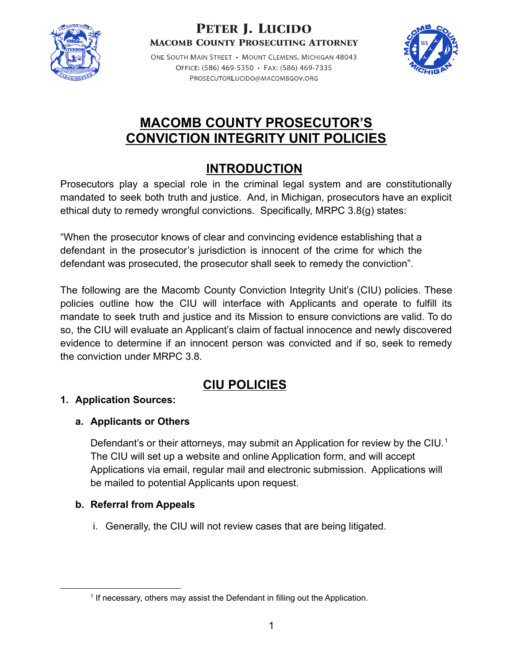

# PETER J. LUCIDO **MACOMB COUNTY PROSECUTING ATTORNEY**

ONE SOUTH MAIN STREET • MOUNT CLEMENS, MICHIGAN 48043 OFFICE: (586) 469-5350 • FAX: (586) 469-7335 PROSECUTORLUCIDO@MACOMBGOV.ORG



# **MACOMB COUNTY PROSECUTOR'S CONVICTION INTEGRITY UNIT POLICIES**

# **INTRODUCTION**

Prosecutors play a special role in the criminal legal system and are constitutionally mandated to seek both truth and justice. And, in Michigan, prosecutors have an explicit ethical duty to remedy wrongful convictions. Specifically, MRPC 3.8(g) states:

"When the prosecutor knows of clear and convincing evidence establishing that a defendant in the prosecutor's jurisdiction is innocent of the crime for which the defendant was prosecuted, the prosecutor shall seek to remedy the conviction".

The following are the Macomb County Conviction Integrity Unit's (CIU) policies. These policies outline how the CIU will interface with Applicants and operate to fulfill its mandate to seek truth and justice and its Mission to ensure convictions are valid. To do so, the CIU will evaluate an Applicant's claim of factual innocence and newly discovered evidence to determine if an innocent person was convicted and if so, seek to remedy the conviction under MRPC 3.8.

# **CIU POLICIES**

# **1. Application Sources:**

# **a. Applicants or Others**

Defendant's or their attorneys, may submit an Application for review by the CIU.<sup>1</sup> The CIU will set up a website and online Application form, and will accept Applications via email, regular mail and electronic submission. Applications will be mailed to potential Applicants upon request.

# **b. Referral from Appeals**

i. Generally, the CIU will not review cases that are being litigated.

<sup>&</sup>lt;sup>1</sup> If necessary, others may assist the Defendant in filling out the Application.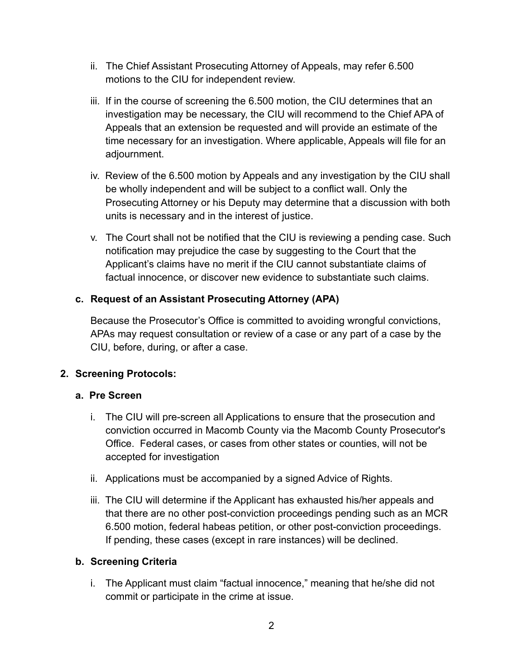- ii. The Chief Assistant Prosecuting Attorney of Appeals, may refer 6.500 motions to the CIU for independent review.
- iii. If in the course of screening the 6.500 motion, the CIU determines that an investigation may be necessary, the CIU will recommend to the Chief APA of Appeals that an extension be requested and will provide an estimate of the time necessary for an investigation. Where applicable, Appeals will file for an adjournment.
- iv. Review of the 6.500 motion by Appeals and any investigation by the CIU shall be wholly independent and will be subject to a conflict wall. Only the Prosecuting Attorney or his Deputy may determine that a discussion with both units is necessary and in the interest of justice.
- v. The Court shall not be notified that the CIU is reviewing a pending case. Such notification may prejudice the case by suggesting to the Court that the Applicant's claims have no merit if the CIU cannot substantiate claims of factual innocence, or discover new evidence to substantiate such claims.

# **c. Request of an Assistant Prosecuting Attorney (APA)**

Because the Prosecutor's Office is committed to avoiding wrongful convictions, APAs may request consultation or review of a case or any part of a case by the CIU, before, during, or after a case.

## **2. Screening Protocols:**

## **a. Pre Screen**

- i. The CIU will pre-screen all Applications to ensure that the prosecution and conviction occurred in Macomb County via the Macomb County Prosecutor's Office. Federal cases, or cases from other states or counties, will not be accepted for investigation
- ii. Applications must be accompanied by a signed Advice of Rights.
- iii. The CIU will determine if the Applicant has exhausted his/her appeals and that there are no other post-conviction proceedings pending such as an MCR 6.500 motion, federal habeas petition, or other post-conviction proceedings. If pending, these cases (except in rare instances) will be declined.

## **b. Screening Criteria**

i. The Applicant must claim "factual innocence," meaning that he/she did not commit or participate in the crime at issue.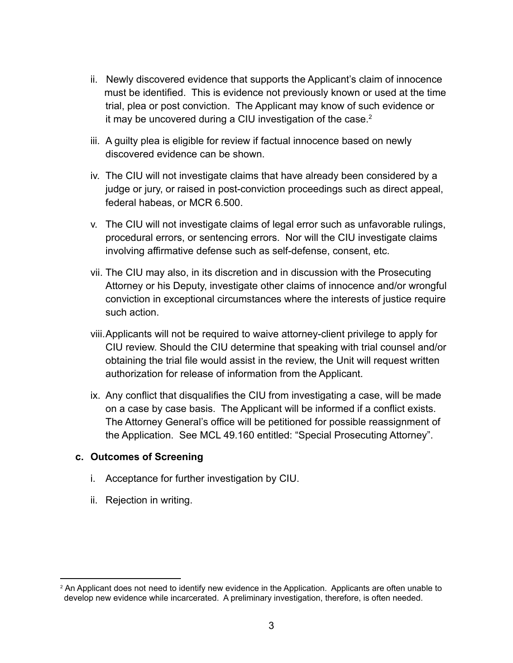- ii. Newly discovered evidence that supports the Applicant's claim of innocence must be identified. This is evidence not previously known or used at the time trial, plea or post conviction. The Applicant may know of such evidence or it may be uncovered during a CIU investigation of the case. $2$
- iii. A guilty plea is eligible for review if factual innocence based on newly discovered evidence can be shown.
- iv. The CIU will not investigate claims that have already been considered by a judge or jury, or raised in post-conviction proceedings such as direct appeal, federal habeas, or MCR 6.500.
- v. The CIU will not investigate claims of legal error such as unfavorable rulings, procedural errors, or sentencing errors. Nor will the CIU investigate claims involving affirmative defense such as self-defense, consent, etc.
- vii. The CIU may also, in its discretion and in discussion with the Prosecuting Attorney or his Deputy, investigate other claims of innocence and/or wrongful conviction in exceptional circumstances where the interests of justice require such action.
- viii.Applicants will not be required to waive attorney-client privilege to apply for CIU review. Should the CIU determine that speaking with trial counsel and/or obtaining the trial file would assist in the review, the Unit will request written authorization for release of information from the Applicant.
- ix. Any conflict that disqualifies the CIU from investigating a case, will be made on a case by case basis. The Applicant will be informed if a conflict exists. The Attorney General's office will be petitioned for possible reassignment of the Application. See MCL 49.160 entitled: "Special Prosecuting Attorney".

## **c. Outcomes of Screening**

- i. Acceptance for further investigation by CIU.
- ii. Rejection in writing.

<sup>&</sup>lt;sup>2</sup> An Applicant does not need to identify new evidence in the Application. Applicants are often unable to develop new evidence while incarcerated. A preliminary investigation, therefore, is often needed.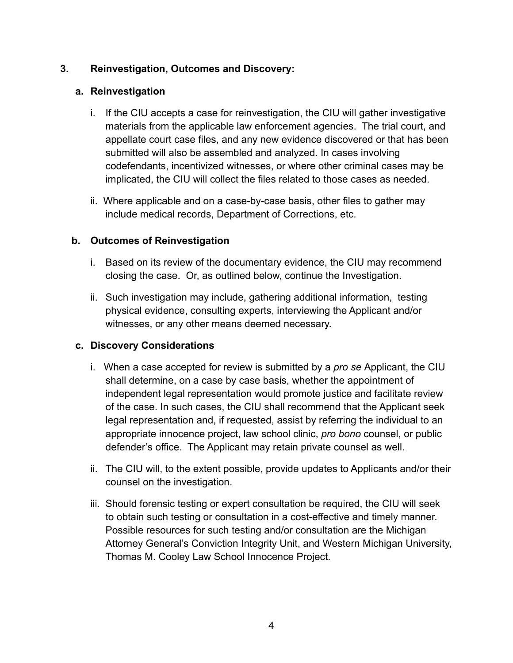## **3. Reinvestigation, Outcomes and Discovery:**

## **a. Reinvestigation**

- i. If the CIU accepts a case for reinvestigation, the CIU will gather investigative materials from the applicable law enforcement agencies. The trial court, and appellate court case files, and any new evidence discovered or that has been submitted will also be assembled and analyzed. In cases involving codefendants, incentivized witnesses, or where other criminal cases may be implicated, the CIU will collect the files related to those cases as needed.
- ii. Where applicable and on a case-by-case basis, other files to gather may include medical records, Department of Corrections, etc.

#### **b. Outcomes of Reinvestigation**

- i. Based on its review of the documentary evidence, the CIU may recommend closing the case. Or, as outlined below, continue the Investigation.
- ii. Such investigation may include, gathering additional information, testing physical evidence, consulting experts, interviewing the Applicant and/or witnesses, or any other means deemed necessary.

#### **c. Discovery Considerations**

- i. When a case accepted for review is submitted by a *pro se* Applicant, the CIU shall determine, on a case by case basis, whether the appointment of independent legal representation would promote justice and facilitate review of the case. In such cases, the CIU shall recommend that the Applicant seek legal representation and, if requested, assist by referring the individual to an appropriate innocence project, law school clinic, *pro bono* counsel, or public defender's office. The Applicant may retain private counsel as well.
- ii. The CIU will, to the extent possible, provide updates to Applicants and/or their counsel on the investigation.
- iii. Should forensic testing or expert consultation be required, the CIU will seek to obtain such testing or consultation in a cost-effective and timely manner. Possible resources for such testing and/or consultation are the Michigan Attorney General's Conviction Integrity Unit, and Western Michigan University, Thomas M. Cooley Law School Innocence Project.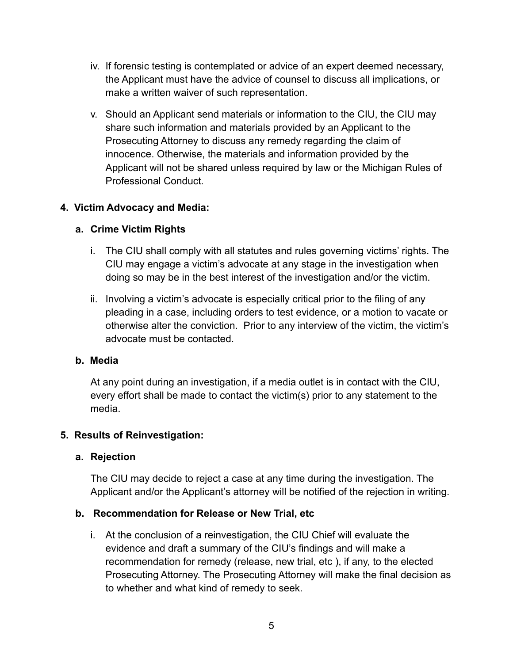- iv. If forensic testing is contemplated or advice of an expert deemed necessary, the Applicant must have the advice of counsel to discuss all implications, or make a written waiver of such representation.
- v. Should an Applicant send materials or information to the CIU, the CIU may share such information and materials provided by an Applicant to the Prosecuting Attorney to discuss any remedy regarding the claim of innocence. Otherwise, the materials and information provided by the Applicant will not be shared unless required by law or the Michigan Rules of Professional Conduct.

## **4. Victim Advocacy and Media:**

## **a. Crime Victim Rights**

- i. The CIU shall comply with all statutes and rules governing victims' rights. The CIU may engage a victim's advocate at any stage in the investigation when doing so may be in the best interest of the investigation and/or the victim.
- ii. Involving a victim's advocate is especially critical prior to the filing of any pleading in a case, including orders to test evidence, or a motion to vacate or otherwise alter the conviction. Prior to any interview of the victim, the victim's advocate must be contacted.

## **b. Media**

At any point during an investigation, if a media outlet is in contact with the CIU, every effort shall be made to contact the victim(s) prior to any statement to the media.

## **5. Results of Reinvestigation:**

## **a. Rejection**

The CIU may decide to reject a case at any time during the investigation. The Applicant and/or the Applicant's attorney will be notified of the rejection in writing.

# **b. Recommendation for Release or New Trial, etc**

i. At the conclusion of a reinvestigation, the CIU Chief will evaluate the evidence and draft a summary of the CIU's findings and will make a recommendation for remedy (release, new trial, etc ), if any, to the elected Prosecuting Attorney. The Prosecuting Attorney will make the final decision as to whether and what kind of remedy to seek.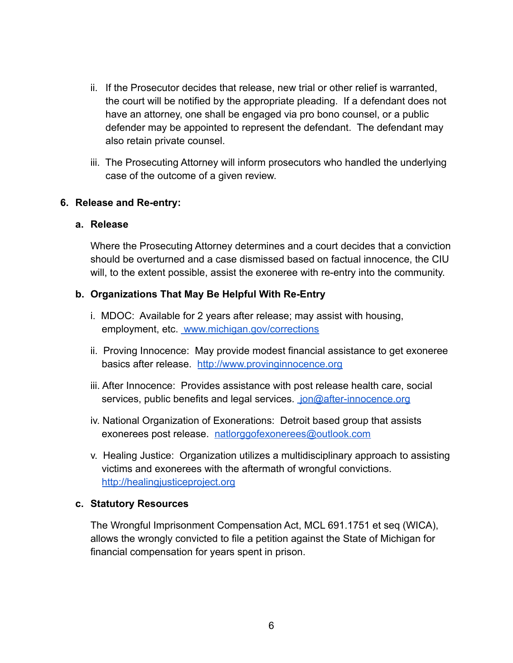- ii. If the Prosecutor decides that release, new trial or other relief is warranted, the court will be notified by the appropriate pleading. If a defendant does not have an attorney, one shall be engaged via pro bono counsel, or a public defender may be appointed to represent the defendant. The defendant may also retain private counsel.
- iii. The Prosecuting Attorney will inform prosecutors who handled the underlying case of the outcome of a given review.

#### **6. Release and Re-entry:**

#### **a. Release**

Where the Prosecuting Attorney determines and a court decides that a conviction should be overturned and a case dismissed based on factual innocence, the CIU will, to the extent possible, assist the exoneree with re-entry into the community.

#### **b. Organizations That May Be Helpful With Re-Entry**

- i. MDOC: Available for 2 years after release; may assist with housing, employment, etc. [www.michigan.gov/corrections](http://www.michigan.gov/corrections)
- ii. Proving Innocence: May provide modest financial assistance to get exoneree basics after release. <http://www.provinginnocence.org>
- iii. After Innocence: Provides assistance with post release health care, social services, public benefits and legal services. [jon@after-innocence.org](mailto:jon@after-innocence.org)
- iv. National Organization of Exonerations: Detroit based group that assists exonerees post release. [natlorggofexonerees@outlook.com](mailto:natlorggofexonerees@outlook.com)
- v. Healing Justice: Organization utilizes a multidisciplinary approach to assisting victims and exonerees with the aftermath of wrongful convictions. <http://healingjusticeproject.org>

#### **c. Statutory Resources**

The Wrongful Imprisonment Compensation Act, MCL 691.1751 et seq (WICA), allows the wrongly convicted to file a petition against the State of Michigan for financial compensation for years spent in prison.